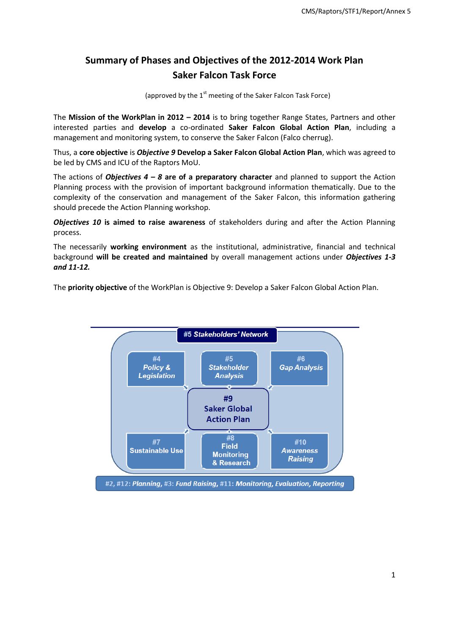# **Summary of Phases and Objectives of the 2012-2014 Work Plan Saker Falcon Task Force**

(approved by the  $1<sup>st</sup>$  meeting of the Saker Falcon Task Force)

The **Mission of the WorkPlan in 2012 – 2014** is to bring together Range States, Partners and other interested parties and **develop** a co-ordinated **Saker Falcon Global Action Plan**, including a management and monitoring system, to conserve the Saker Falcon (Falco cherrug).

Thus, a **core objective** is *Objective 9* **Develop a Saker Falcon Global Action Plan**, which was agreed to be led by CMS and ICU of the Raptors MoU.

The actions of *Objectives 4 – 8* **are of a preparatory character** and planned to support the Action Planning process with the provision of important background information thematically. Due to the complexity of the conservation and management of the Saker Falcon, this information gathering should precede the Action Planning workshop.

*Objectives 10* **is aimed to raise awareness** of stakeholders during and after the Action Planning process.

The necessarily **working environment** as the institutional, administrative, financial and technical background **will be created and maintained** by overall management actions under *Objectives 1-3 and 11-12.* 

The **priority objective** of the WorkPlan is Objective 9: Develop a Saker Falcon Global Action Plan.

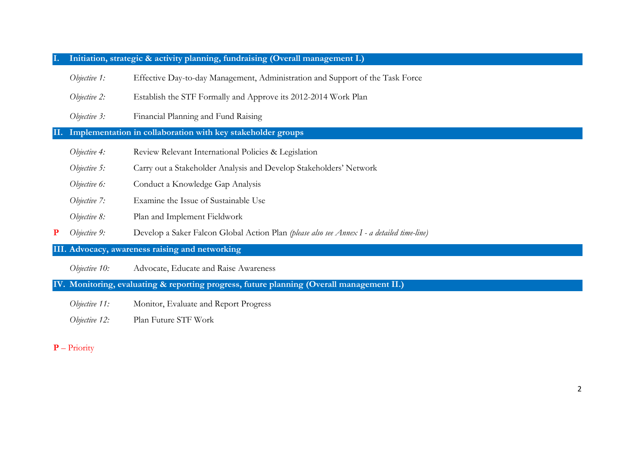### **I. Initiation, strategic & activity planning, fundraising (Overall management I.)**

*Objective 1:* Effective Day-to-day Management, Administration and Support of the Task Force

*Objective 2:* Establish the STF Formally and Approve its 2012-2014 Work Plan

*Objective 3:* Financial Planning and Fund Raising

### **II. Implementation in collaboration with key stakeholder groups**

- *Objective 4:* Review Relevant International Policies & Legislation
- *Objective 5:* Carry out a Stakeholder Analysis and Develop Stakeholders' Network
- *Objective 6:* Conduct a Knowledge Gap Analysis
- *Objective 7:* Examine the Issue of Sustainable Use
- *Objective 8:* Plan and Implement Fieldwork
- **P** *Objective 9:* Develop a Saker Falcon Global Action Plan *(please also see Annex I - a detailed time-line)*

**III. Advocacy, awareness raising and networking**

*Objective 10:* Advocate, Educate and Raise Awareness

**IV. Monitoring, evaluating & reporting progress, future planning (Overall management II.)**

*Objective 11:* Monitor, Evaluate and Report Progress

*Objective 12:* Plan Future STF Work

#### **P** – Priority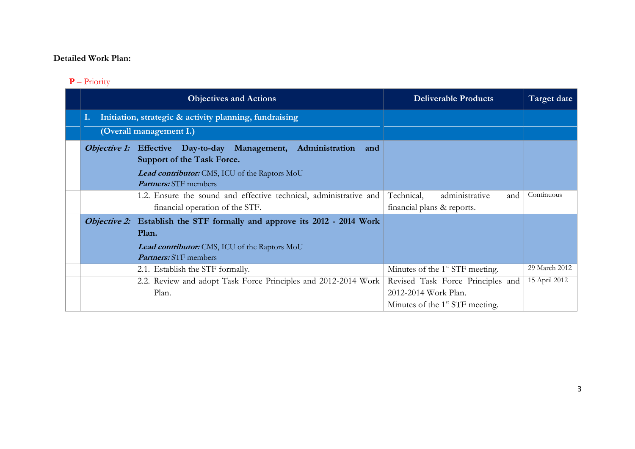## **Detailed Work Plan:**

## **P** – Priority

| <b>Objectives and Actions</b>                                                 | <b>Deliverable Products</b>                 | Target date   |
|-------------------------------------------------------------------------------|---------------------------------------------|---------------|
| Initiation, strategic & activity planning, fundraising                        |                                             |               |
| (Overall management I.)                                                       |                                             |               |
| Administration<br><i>Objective 1:</i> Effective Day-to-day Management,<br>and |                                             |               |
| Support of the Task Force.                                                    |                                             |               |
| Lead contributor: CMS, ICU of the Raptors MoU                                 |                                             |               |
| <b>Partners:</b> STF members                                                  |                                             |               |
| 1.2. Ensure the sound and effective technical, administrative and             | Technical,<br>administrative<br>and         | Continuous    |
| financial operation of the STF.                                               | financial plans & reports.                  |               |
| Objective 2: Establish the STF formally and approve its 2012 - 2014 Work      |                                             |               |
| Plan.                                                                         |                                             |               |
| <b>Lead contributor:</b> CMS, ICU of the Raptors MoU                          |                                             |               |
| <b>Partners:</b> STF members                                                  |                                             |               |
| 2.1. Establish the STF formally.                                              | Minutes of the 1 <sup>st</sup> STF meeting. | 29 March 2012 |
| 2.2. Review and adopt Task Force Principles and 2012-2014 Work                | Revised Task Force Principles and           | 15 April 2012 |
| Plan.                                                                         | 2012-2014 Work Plan.                        |               |
|                                                                               | Minutes of the 1 <sup>st</sup> STF meeting. |               |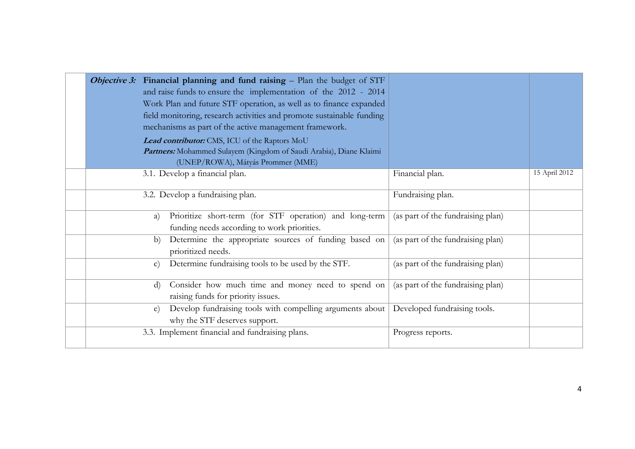|  | <i>Objective 3:</i> Financial planning and fund raising $-$ Plan the budget of STF<br>and raise funds to ensure the implementation of the 2012 - 2014<br>Work Plan and future STF operation, as well as to finance expanded<br>field monitoring, research activities and promote sustainable funding<br>mechanisms as part of the active management framework.<br>Lead contributor: CMS, ICU of the Raptors MoU<br>Partners: Mohammed Sulayem (Kingdom of Saudi Arabia), Diane Klaimi<br>(UNEP/ROWA), Mátyás Prommer (MME) |                                   |               |
|--|----------------------------------------------------------------------------------------------------------------------------------------------------------------------------------------------------------------------------------------------------------------------------------------------------------------------------------------------------------------------------------------------------------------------------------------------------------------------------------------------------------------------------|-----------------------------------|---------------|
|  | 3.1. Develop a financial plan.                                                                                                                                                                                                                                                                                                                                                                                                                                                                                             | Financial plan.                   | 15 April 2012 |
|  | 3.2. Develop a fundraising plan.                                                                                                                                                                                                                                                                                                                                                                                                                                                                                           | Fundraising plan.                 |               |
|  | Prioritize short-term (for STF operation) and long-term<br>a)<br>funding needs according to work priorities.                                                                                                                                                                                                                                                                                                                                                                                                               | (as part of the fundraising plan) |               |
|  | Determine the appropriate sources of funding based on<br>b)<br>prioritized needs.                                                                                                                                                                                                                                                                                                                                                                                                                                          | (as part of the fundraising plan) |               |
|  | Determine fundraising tools to be used by the STF.<br>$\mathbf{c}$                                                                                                                                                                                                                                                                                                                                                                                                                                                         | (as part of the fundraising plan) |               |
|  | Consider how much time and money need to spend on<br>$\rm d$<br>raising funds for priority issues.                                                                                                                                                                                                                                                                                                                                                                                                                         | (as part of the fundraising plan) |               |
|  | Develop fundraising tools with compelling arguments about<br>e)<br>why the STF deserves support.                                                                                                                                                                                                                                                                                                                                                                                                                           | Developed fundraising tools.      |               |
|  | 3.3. Implement financial and fundraising plans.                                                                                                                                                                                                                                                                                                                                                                                                                                                                            | Progress reports.                 |               |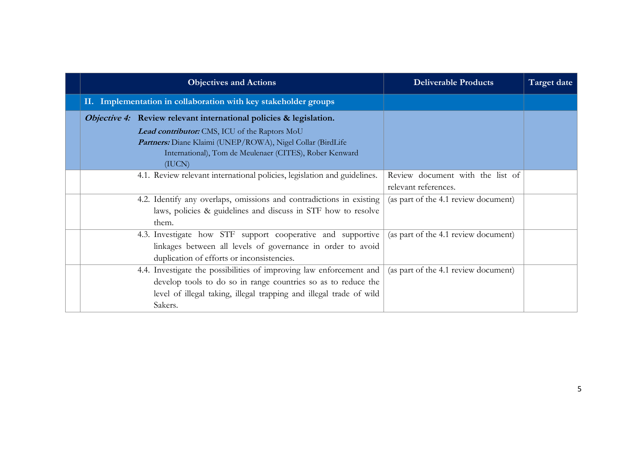| <b>Objectives and Actions</b>                                                                                                                                                                                          | <b>Deliverable Products</b>                              | Target date |
|------------------------------------------------------------------------------------------------------------------------------------------------------------------------------------------------------------------------|----------------------------------------------------------|-------------|
| II. Implementation in collaboration with key stakeholder groups                                                                                                                                                        |                                                          |             |
| Objective 4: Review relevant international policies & legislation.                                                                                                                                                     |                                                          |             |
| Lead contributor: CMS, ICU of the Raptors MoU<br>Partners: Diane Klaimi (UNEP/ROWA), Nigel Collar (BirdLife<br>International), Tom de Meulenaer (CITES), Rober Kenward<br>(IUCN)                                       |                                                          |             |
| 4.1. Review relevant international policies, legislation and guidelines.                                                                                                                                               | Review document with the list of<br>relevant references. |             |
| 4.2. Identify any overlaps, omissions and contradictions in existing<br>laws, policies & guidelines and discuss in STF how to resolve<br>them.                                                                         | (as part of the 4.1 review document)                     |             |
| 4.3. Investigate how STF support cooperative and supportive<br>linkages between all levels of governance in order to avoid<br>duplication of efforts or inconsistencies.                                               | (as part of the 4.1 review document)                     |             |
| 4.4. Investigate the possibilities of improving law enforcement and<br>develop tools to do so in range countries so as to reduce the<br>level of illegal taking, illegal trapping and illegal trade of wild<br>Sakers. | (as part of the 4.1 review document)                     |             |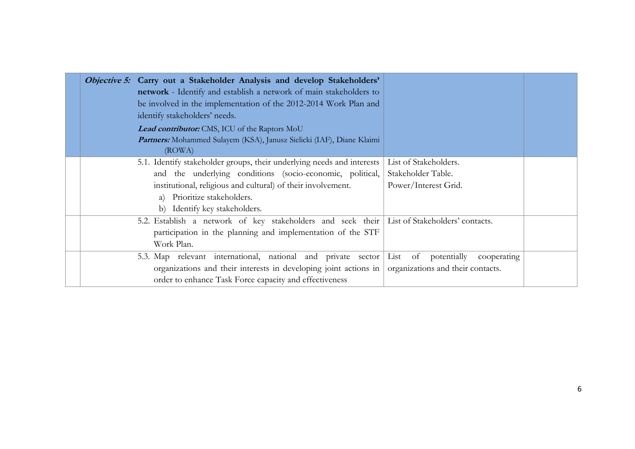| <i>Objective 5:</i> Carry out a Stakeholder Analysis and develop Stakeholders'<br>network - Identify and establish a network of main stakeholders to<br>be involved in the implementation of the 2012-2014 Work Plan and<br>identify stakeholders' needs.<br>Lead contributor: CMS, ICU of the Raptors MoU<br>Partners: Mohammed Sulayem (KSA), Janusz Sielicki (IAF), Diane Klaimi<br>(ROWA) |                                             |  |
|-----------------------------------------------------------------------------------------------------------------------------------------------------------------------------------------------------------------------------------------------------------------------------------------------------------------------------------------------------------------------------------------------|---------------------------------------------|--|
| 5.1. Identify stakeholder groups, their underlying needs and interests                                                                                                                                                                                                                                                                                                                        | List of Stakeholders.<br>Stakeholder Table. |  |
| and the underlying conditions (socio-economic, political,                                                                                                                                                                                                                                                                                                                                     |                                             |  |
| institutional, religious and cultural) of their involvement.                                                                                                                                                                                                                                                                                                                                  | Power/Interest Grid.                        |  |
| a) Prioritize stakeholders.                                                                                                                                                                                                                                                                                                                                                                   |                                             |  |
| b) Identify key stakeholders.                                                                                                                                                                                                                                                                                                                                                                 |                                             |  |
| 5.2. Establish a network of key stakeholders and seek their List of Stakeholders' contacts.                                                                                                                                                                                                                                                                                                   |                                             |  |
| participation in the planning and implementation of the STF                                                                                                                                                                                                                                                                                                                                   |                                             |  |
| Work Plan.                                                                                                                                                                                                                                                                                                                                                                                    |                                             |  |
| 5.3. Map relevant international, national and private sector                                                                                                                                                                                                                                                                                                                                  | List of potentially<br>cooperating          |  |
| organizations and their interests in developing joint actions in                                                                                                                                                                                                                                                                                                                              | organizations and their contacts.           |  |
| order to enhance Task Force capacity and effectiveness                                                                                                                                                                                                                                                                                                                                        |                                             |  |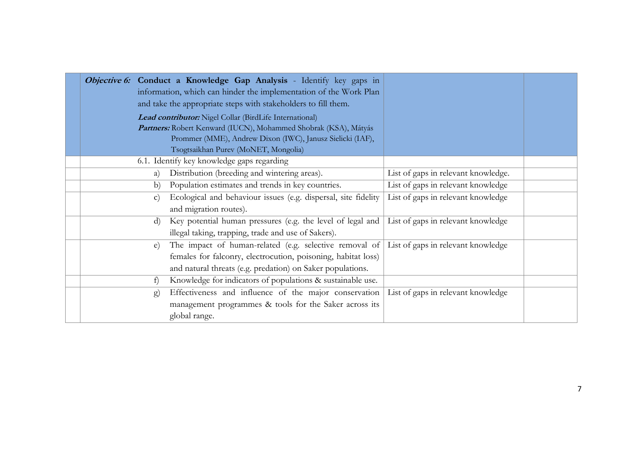|              | <b>Objective 6:</b> Conduct a Knowledge Gap Analysis - Identify key gaps in<br>information, which can hinder the implementation of the Work Plan<br>and take the appropriate steps with stakeholders to fill them.<br>Lead contributor: Nigel Collar (BirdLife International)<br>Partners: Robert Kenward (IUCN), Mohammed Shobrak (KSA), Mátyás |                                     |  |
|--------------|--------------------------------------------------------------------------------------------------------------------------------------------------------------------------------------------------------------------------------------------------------------------------------------------------------------------------------------------------|-------------------------------------|--|
|              | Prommer (MME), Andrew Dixon (IWC), Janusz Sielicki (IAF),                                                                                                                                                                                                                                                                                        |                                     |  |
|              | Tsogtsaikhan Purev (MoNET, Mongolia)                                                                                                                                                                                                                                                                                                             |                                     |  |
|              | 6.1. Identify key knowledge gaps regarding                                                                                                                                                                                                                                                                                                       |                                     |  |
| a)           | Distribution (breeding and wintering areas).                                                                                                                                                                                                                                                                                                     | List of gaps in relevant knowledge. |  |
| b)           | Population estimates and trends in key countries.                                                                                                                                                                                                                                                                                                | List of gaps in relevant knowledge  |  |
| $\mathbf{C}$ | Ecological and behaviour issues (e.g. dispersal, site fidelity                                                                                                                                                                                                                                                                                   | List of gaps in relevant knowledge  |  |
|              | and migration routes).                                                                                                                                                                                                                                                                                                                           |                                     |  |
| $\rm d$      | Key potential human pressures (e.g. the level of legal and                                                                                                                                                                                                                                                                                       | List of gaps in relevant knowledge  |  |
|              | illegal taking, trapping, trade and use of Sakers).                                                                                                                                                                                                                                                                                              |                                     |  |
| $\epsilon$ ) | The impact of human-related (e.g. selective removal of List of gaps in relevant knowledge                                                                                                                                                                                                                                                        |                                     |  |
|              | females for falconry, electrocution, poisoning, habitat loss)                                                                                                                                                                                                                                                                                    |                                     |  |
|              | and natural threats (e.g. predation) on Saker populations.                                                                                                                                                                                                                                                                                       |                                     |  |
| f)           | Knowledge for indicators of populations & sustainable use.                                                                                                                                                                                                                                                                                       |                                     |  |
| $\mathbf{g}$ | Effectiveness and influence of the major conservation                                                                                                                                                                                                                                                                                            | List of gaps in relevant knowledge  |  |
|              | management programmes & tools for the Saker across its                                                                                                                                                                                                                                                                                           |                                     |  |
|              | global range.                                                                                                                                                                                                                                                                                                                                    |                                     |  |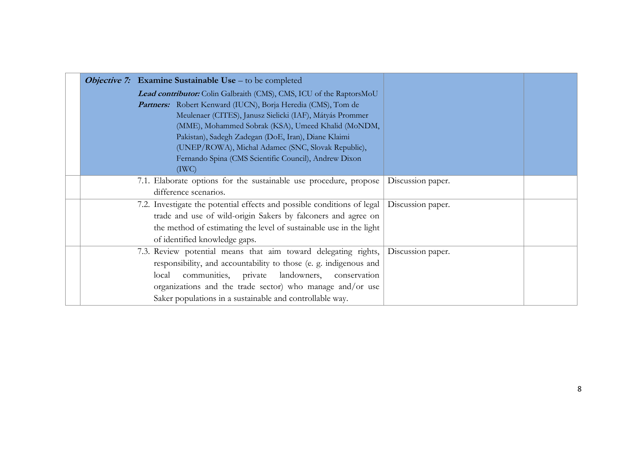|  | <b>Objective 7:</b> Examine Sustainable Use – to be completed           |                   |  |
|--|-------------------------------------------------------------------------|-------------------|--|
|  | Lead contributor: Colin Galbraith (CMS), CMS, ICU of the RaptorsMoU     |                   |  |
|  | Partners: Robert Kenward (IUCN), Borja Heredia (CMS), Tom de            |                   |  |
|  | Meulenaer (CITES), Janusz Sielicki (IAF), Mátyás Prommer                |                   |  |
|  | (MME), Mohammed Sobrak (KSA), Umeed Khalid (MoNDM,                      |                   |  |
|  | Pakistan), Sadegh Zadegan (DoE, Iran), Diane Klaimi                     |                   |  |
|  | (UNEP/ROWA), Michal Adamec (SNC, Slovak Republic),                      |                   |  |
|  | Fernando Spina (CMS Scientific Council), Andrew Dixon                   |                   |  |
|  | (TWC)                                                                   |                   |  |
|  | 7.1. Elaborate options for the sustainable use procedure, propose       | Discussion paper. |  |
|  | difference scenarios.                                                   |                   |  |
|  | 7.2. Investigate the potential effects and possible conditions of legal | Discussion paper. |  |
|  | trade and use of wild-origin Sakers by falconers and agree on           |                   |  |
|  | the method of estimating the level of sustainable use in the light      |                   |  |
|  | of identified knowledge gaps.                                           |                   |  |
|  | 7.3. Review potential means that aim toward delegating rights,          | Discussion paper. |  |
|  | responsibility, and accountability to those (e. g. indigenous and       |                   |  |
|  | communities, private<br>landowners,<br>local<br>conservation            |                   |  |
|  | organizations and the trade sector) who manage and/or use               |                   |  |
|  | Saker populations in a sustainable and controllable way.                |                   |  |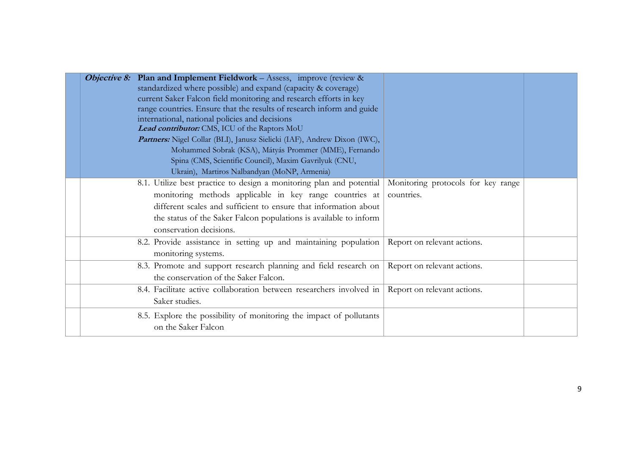| <b>Objective 8:</b> Plan and Implement Fieldwork - Assess, improve (review &<br>standardized where possible) and expand (capacity & coverage)<br>current Saker Falcon field monitoring and research efforts in key<br>range countries. Ensure that the results of research inform and guide<br>international, national policies and decisions<br>Lead contributor: CMS, ICU of the Raptors MoU<br>Partners: Nigel Collar (BLI), Janusz Sielicki (IAF), Andrew Dixon (IWC),<br>Mohammed Sobrak (KSA), Mátyás Prommer (MME), Fernando<br>Spina (CMS, Scientific Council), Maxim Gavrilyuk (CNU,<br>Ukrain), Martiros Nalbandyan (MoNP, Armenia) |                                                  |  |
|-----------------------------------------------------------------------------------------------------------------------------------------------------------------------------------------------------------------------------------------------------------------------------------------------------------------------------------------------------------------------------------------------------------------------------------------------------------------------------------------------------------------------------------------------------------------------------------------------------------------------------------------------|--------------------------------------------------|--|
| 8.1. Utilize best practice to design a monitoring plan and potential<br>monitoring methods applicable in key range countries at<br>different scales and sufficient to ensure that information about<br>the status of the Saker Falcon populations is available to inform<br>conservation decisions.                                                                                                                                                                                                                                                                                                                                           | Monitoring protocols for key range<br>countries. |  |
| 8.2. Provide assistance in setting up and maintaining population<br>monitoring systems.                                                                                                                                                                                                                                                                                                                                                                                                                                                                                                                                                       | Report on relevant actions.                      |  |
| 8.3. Promote and support research planning and field research on<br>the conservation of the Saker Falcon.                                                                                                                                                                                                                                                                                                                                                                                                                                                                                                                                     | Report on relevant actions.                      |  |
| 8.4. Facilitate active collaboration between researchers involved in Report on relevant actions.<br>Saker studies.                                                                                                                                                                                                                                                                                                                                                                                                                                                                                                                            |                                                  |  |
| 8.5. Explore the possibility of monitoring the impact of pollutants<br>on the Saker Falcon                                                                                                                                                                                                                                                                                                                                                                                                                                                                                                                                                    |                                                  |  |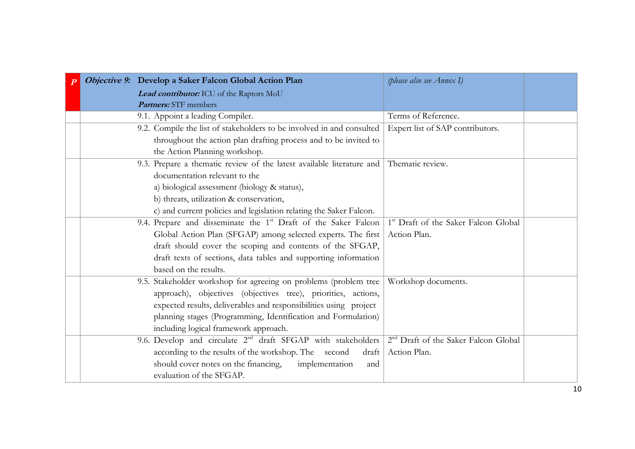|  | Objective 9: Develop a Saker Falcon Global Action Plan                     | (please also see Annex I)                        |  |
|--|----------------------------------------------------------------------------|--------------------------------------------------|--|
|  | Lead contributor: ICU of the Raptors MoU                                   |                                                  |  |
|  | <b>Partners:</b> STF members                                               |                                                  |  |
|  | 9.1. Appoint a leading Compiler.                                           | Terms of Reference.                              |  |
|  | 9.2. Compile the list of stakeholders to be involved in and consulted      | Expert list of SAP contributors.                 |  |
|  | throughout the action plan drafting process and to be invited to           |                                                  |  |
|  | the Action Planning workshop.                                              |                                                  |  |
|  | 9.3. Prepare a thematic review of the latest available literature and      | Thematic review.                                 |  |
|  | documentation relevant to the                                              |                                                  |  |
|  | a) biological assessment (biology & status),                               |                                                  |  |
|  | b) threats, utilization & conservation,                                    |                                                  |  |
|  | c) and current policies and legislation relating the Saker Falcon.         |                                                  |  |
|  | 9.4. Prepare and disseminate the 1 <sup>st</sup> Draft of the Saker Falcon | <sup>1st</sup> Draft of the Saker Falcon Global  |  |
|  | Global Action Plan (SFGAP) among selected experts. The first               | Action Plan.                                     |  |
|  | draft should cover the scoping and contents of the SFGAP,                  |                                                  |  |
|  | draft texts of sections, data tables and supporting information            |                                                  |  |
|  | based on the results.                                                      |                                                  |  |
|  | 9.5. Stakeholder workshop for agreeing on problems (problem tree           | Workshop documents.                              |  |
|  | approach), objectives (objectives tree), priorities, actions,              |                                                  |  |
|  | expected results, deliverables and responsibilities using project          |                                                  |  |
|  | planning stages (Programming, Identification and Formulation)              |                                                  |  |
|  | including logical framework approach.                                      |                                                  |  |
|  | 9.6. Develop and circulate 2 <sup>nd</sup> draft SFGAP with stakeholders   | 2 <sup>nd</sup> Draft of the Saker Falcon Global |  |
|  | according to the results of the workshop. The second<br>draft              | Action Plan.                                     |  |
|  | should cover notes on the financing,<br>implementation<br>and              |                                                  |  |
|  | evaluation of the SFGAP.                                                   |                                                  |  |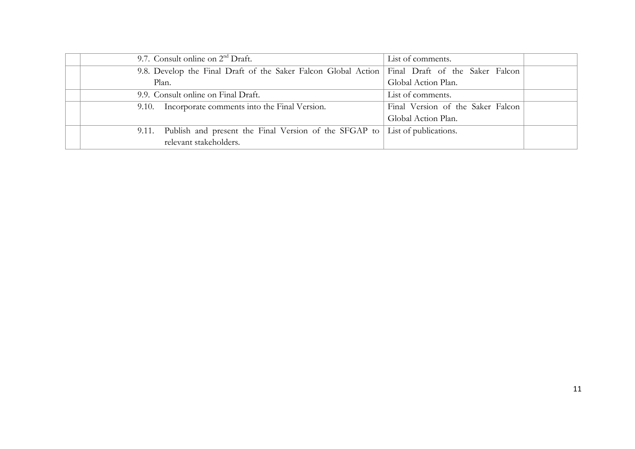| 9.7. Consult online on $2nd$ Draft.                                                              | List of comments.                 |  |
|--------------------------------------------------------------------------------------------------|-----------------------------------|--|
| 9.8. Develop the Final Draft of the Saker Falcon Global Action   Final Draft of the Saker Falcon |                                   |  |
| Plan.                                                                                            | Global Action Plan.               |  |
| 9.9. Consult online on Final Draft.                                                              | List of comments.                 |  |
| 9.10. Incorporate comments into the Final Version.                                               | Final Version of the Saker Falcon |  |
|                                                                                                  | Global Action Plan.               |  |
| 9.11. Publish and present the Final Version of the SFGAP to List of publications.                |                                   |  |
| relevant stakeholders.                                                                           |                                   |  |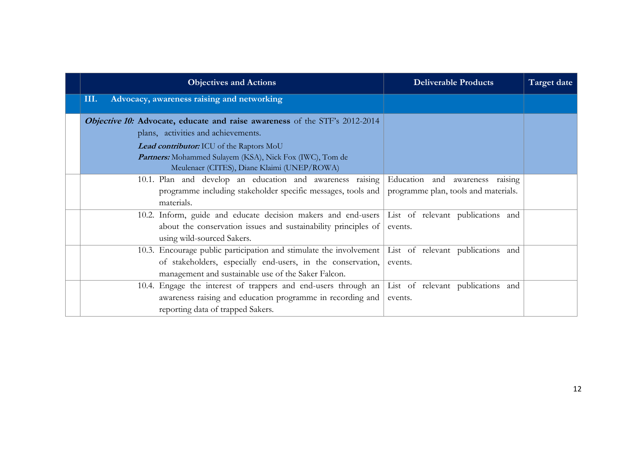| <b>Objectives and Actions</b>                                                                   | <b>Deliverable Products</b>          | Target date |
|-------------------------------------------------------------------------------------------------|--------------------------------------|-------------|
| Advocacy, awareness raising and networking<br>III.                                              |                                      |             |
| <b>Objective 10: Advocate, educate and raise awareness</b> of the STF's 2012-2014               |                                      |             |
| plans, activities and achievements.                                                             |                                      |             |
| Lead contributor: ICU of the Raptors MoU                                                        |                                      |             |
| Partners: Mohammed Sulayem (KSA), Nick Fox (IWC), Tom de                                        |                                      |             |
| Meulenaer (CITES), Diane Klaimi (UNEP/ROWA)                                                     |                                      |             |
| 10.1. Plan and develop an education and awareness raising                                       | Education and awareness raising      |             |
| programme including stakeholder specific messages, tools and                                    | programme plan, tools and materials. |             |
| materials.                                                                                      |                                      |             |
| 10.2. Inform, guide and educate decision makers and end-users List of relevant publications and |                                      |             |
| about the conservation issues and sustainability principles of                                  | events.                              |             |
| using wild-sourced Sakers.                                                                      |                                      |             |
| 10.3. Encourage public participation and stimulate the involvement                              | List of relevant publications and    |             |
| of stakeholders, especially end-users, in the conservation,                                     | events.                              |             |
| management and sustainable use of the Saker Falcon.                                             |                                      |             |
| 10.4. Engage the interest of trappers and end-users through an                                  | List of relevant publications and    |             |
| awareness raising and education programme in recording and                                      | events.                              |             |
| reporting data of trapped Sakers.                                                               |                                      |             |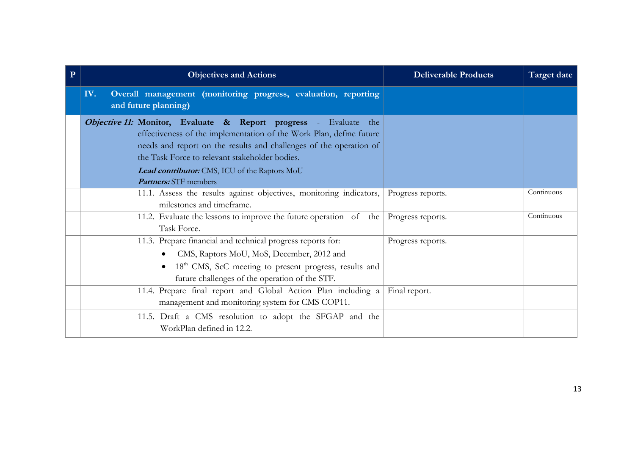| $\mathbf{P}$ | <b>Objectives and Actions</b>                                                                                                                                                                                                                                                                                    | <b>Deliverable Products</b> | <b>Target date</b> |
|--------------|------------------------------------------------------------------------------------------------------------------------------------------------------------------------------------------------------------------------------------------------------------------------------------------------------------------|-----------------------------|--------------------|
|              | Overall management (monitoring progress, evaluation, reporting<br>IV.<br>and future planning)                                                                                                                                                                                                                    |                             |                    |
|              | Objective 11: Monitor, Evaluate & Report progress - Evaluate the<br>effectiveness of the implementation of the Work Plan, define future<br>needs and report on the results and challenges of the operation of<br>the Task Force to relevant stakeholder bodies.<br>Lead contributor: CMS, ICU of the Raptors MoU |                             |                    |
|              | <b>Partners:</b> STF members                                                                                                                                                                                                                                                                                     |                             | Continuous         |
|              | 11.1. Assess the results against objectives, monitoring indicators,<br>milestones and timeframe.                                                                                                                                                                                                                 | Progress reports.           |                    |
|              | 11.2. Evaluate the lessons to improve the future operation of the<br>Task Force.                                                                                                                                                                                                                                 | Progress reports.           | Continuous         |
|              | 11.3. Prepare financial and technical progress reports for:<br>CMS, Raptors MoU, MoS, December, 2012 and<br>18 <sup>th</sup> CMS, ScC meeting to present progress, results and<br>future challenges of the operation of the STF.                                                                                 | Progress reports.           |                    |
|              | 11.4. Prepare final report and Global Action Plan including a<br>management and monitoring system for CMS COP11.                                                                                                                                                                                                 | Final report.               |                    |
|              | 11.5. Draft a CMS resolution to adopt the SFGAP and the<br>WorkPlan defined in 12.2.                                                                                                                                                                                                                             |                             |                    |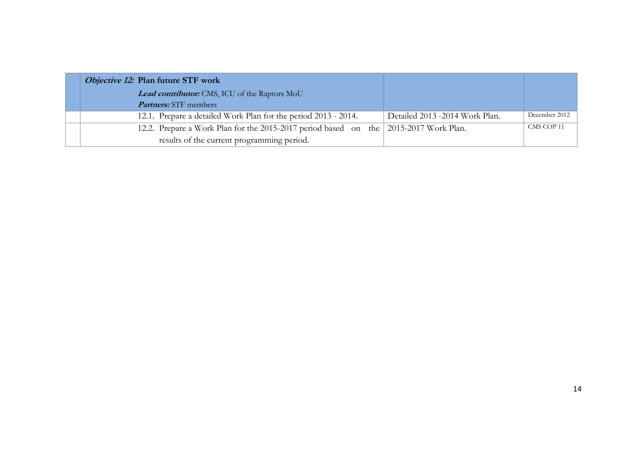| <i>Objective 12:</i> Plan future STF work                                            |                                 |               |
|--------------------------------------------------------------------------------------|---------------------------------|---------------|
| Lead contributor: CMS, ICU of the Raptors MoU                                        |                                 |               |
| <i>Partners:</i> STF members                                                         |                                 |               |
| 12.1. Prepare a detailed Work Plan for the period 2013 - 2014.                       | Detailed 2013 - 2014 Work Plan. | December 2012 |
| 12.2. Prepare a Work Plan for the 2015-2017 period based on the 2015-2017 Work Plan. |                                 | CMS COP 11    |
| results of the current programming period.                                           |                                 |               |